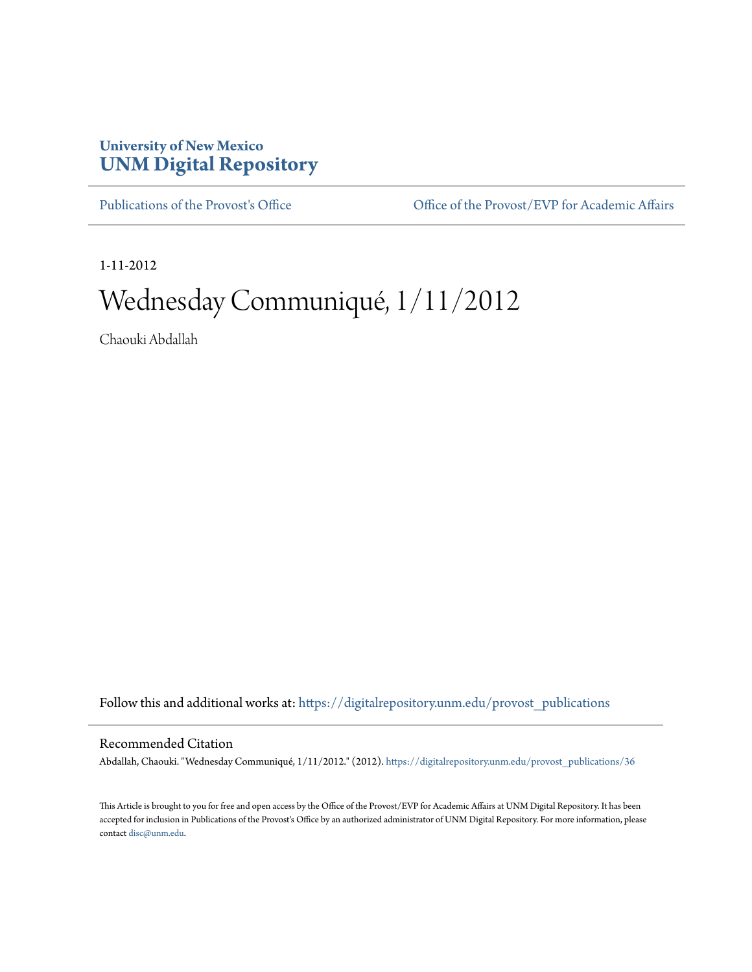## **University of New Mexico [UNM Digital Repository](https://digitalrepository.unm.edu?utm_source=digitalrepository.unm.edu%2Fprovost_publications%2F36&utm_medium=PDF&utm_campaign=PDFCoverPages)**

[Publications of the Provost's Office](https://digitalrepository.unm.edu/provost_publications?utm_source=digitalrepository.unm.edu%2Fprovost_publications%2F36&utm_medium=PDF&utm_campaign=PDFCoverPages) Office [Office of the Provost/EVP for Academic Affairs](https://digitalrepository.unm.edu/ofc_provost?utm_source=digitalrepository.unm.edu%2Fprovost_publications%2F36&utm_medium=PDF&utm_campaign=PDFCoverPages)

1-11-2012

# Wednesday Communiqué, 1/11/2012

Chaouki Abdallah

Follow this and additional works at: [https://digitalrepository.unm.edu/provost\\_publications](https://digitalrepository.unm.edu/provost_publications?utm_source=digitalrepository.unm.edu%2Fprovost_publications%2F36&utm_medium=PDF&utm_campaign=PDFCoverPages)

#### Recommended Citation

Abdallah, Chaouki. "Wednesday Communiqué, 1/11/2012." (2012). [https://digitalrepository.unm.edu/provost\\_publications/36](https://digitalrepository.unm.edu/provost_publications/36?utm_source=digitalrepository.unm.edu%2Fprovost_publications%2F36&utm_medium=PDF&utm_campaign=PDFCoverPages)

This Article is brought to you for free and open access by the Office of the Provost/EVP for Academic Affairs at UNM Digital Repository. It has been accepted for inclusion in Publications of the Provost's Office by an authorized administrator of UNM Digital Repository. For more information, please contact [disc@unm.edu.](mailto:disc@unm.edu)